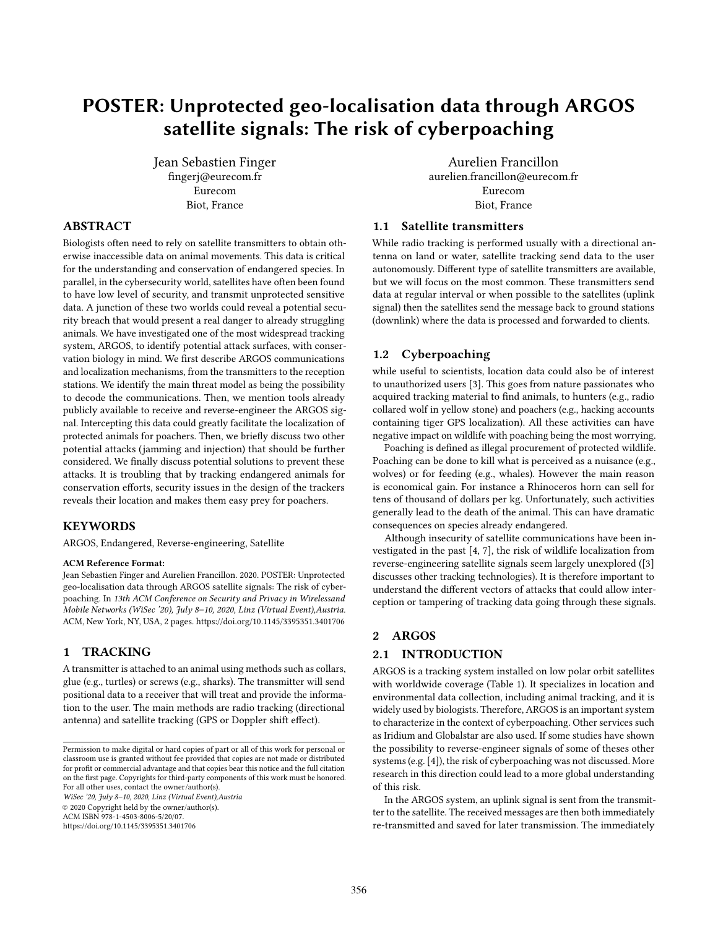# POSTER: Unprotected geo-localisation data through ARGOS satellite signals: The risk of cyberpoaching

Jean Sebastien Finger fingerj@eurecom.fr Eurecom Biot, France

# ABSTRACT

Biologists often need to rely on satellite transmitters to obtain otherwise inaccessible data on animal movements. This data is critical for the understanding and conservation of endangered species. In parallel, in the cybersecurity world, satellites have often been found to have low level of security, and transmit unprotected sensitive data. A junction of these two worlds could reveal a potential security breach that would present a real danger to already struggling animals. We have investigated one of the most widespread tracking system, ARGOS, to identify potential attack surfaces, with conservation biology in mind. We first describe ARGOS communications and localization mechanisms, from the transmitters to the reception stations. We identify the main threat model as being the possibility to decode the communications. Then, we mention tools already publicly available to receive and reverse-engineer the ARGOS signal. Intercepting this data could greatly facilitate the localization of protected animals for poachers. Then, we briefly discuss two other potential attacks (jamming and injection) that should be further considered. We finally discuss potential solutions to prevent these attacks. It is troubling that by tracking endangered animals for conservation efforts, security issues in the design of the trackers reveals their location and makes them easy prey for poachers.

#### KEYWORDS

ARGOS, Endangered, Reverse-engineering, Satellite

#### ACM Reference Format:

Jean Sebastien Finger and Aurelien Francillon. 2020. POSTER: Unprotected geo-localisation data through ARGOS satellite signals: The risk of cyberpoaching. In 13th ACM Conference on Security and Privacy in Wirelessand Mobile Networks (WiSec '20), July 8–10, 2020, Linz (Virtual Event),Austria. ACM, New York, NY, USA, [2](#page-1-0) pages.<https://doi.org/10.1145/3395351.3401706>

#### 1 TRACKING

A transmitter is attached to an animal using methods such as collars, glue (e.g., turtles) or screws (e.g., sharks). The transmitter will send positional data to a receiver that will treat and provide the information to the user. The main methods are radio tracking (directional antenna) and satellite tracking (GPS or Doppler shift effect).

WiSec '20, July 8–10, 2020, Linz (Virtual Event),Austria © 2020 Copyright held by the owner/author(s).

ACM ISBN 978-1-4503-8006-5/20/07.

<https://doi.org/10.1145/3395351.3401706>

Aurelien Francillon aurelien.francillon@eurecom.fr Eurecom Biot, France

# 1.1 Satellite transmitters

While radio tracking is performed usually with a directional antenna on land or water, satellite tracking send data to the user autonomously. Different type of satellite transmitters are available, but we will focus on the most common. These transmitters send data at regular interval or when possible to the satellites (uplink signal) then the satellites send the message back to ground stations (downlink) where the data is processed and forwarded to clients.

#### 1.2 Cyberpoaching

while useful to scientists, location data could also be of interest to unauthorized users [\[3\]](#page-1-1). This goes from nature passionates who acquired tracking material to find animals, to hunters (e.g., radio collared wolf in yellow stone) and poachers (e.g., hacking accounts containing tiger GPS localization). All these activities can have negative impact on wildlife with poaching being the most worrying.

Poaching is defined as illegal procurement of protected wildlife. Poaching can be done to kill what is perceived as a nuisance (e.g., wolves) or for feeding (e.g., whales). However the main reason is economical gain. For instance a Rhinoceros horn can sell for tens of thousand of dollars per kg. Unfortunately, such activities generally lead to the death of the animal. This can have dramatic consequences on species already endangered.

Although insecurity of satellite communications have been investigated in the past [\[4,](#page-1-2) [7\]](#page-1-3), the risk of wildlife localization from reverse-engineering satellite signals seem largely unexplored ([\[3\]](#page-1-1) discusses other tracking technologies). It is therefore important to understand the different vectors of attacks that could allow interception or tampering of tracking data going through these signals.

### 2 ARGOS

#### 2.1 INTRODUCTION

ARGOS is a tracking system installed on low polar orbit satellites with worldwide coverage (Table 1). It specializes in location and environmental data collection, including animal tracking, and it is widely used by biologists. Therefore, ARGOS is an important system to characterize in the context of cyberpoaching. Other services such as Iridium and Globalstar are also used. If some studies have shown the possibility to reverse-engineer signals of some of theses other systems (e.g. [\[4\]](#page-1-2)), the risk of cyberpoaching was not discussed. More research in this direction could lead to a more global understanding of this risk.

In the ARGOS system, an uplink signal is sent from the transmitter to the satellite. The received messages are then both immediately re-transmitted and saved for later transmission. The immediately

Permission to make digital or hard copies of part or all of this work for personal or classroom use is granted without fee provided that copies are not made or distributed for profit or commercial advantage and that copies bear this notice and the full citation on the first page. Copyrights for third-party components of this work must be honored. For all other uses, contact the owner/author(s).